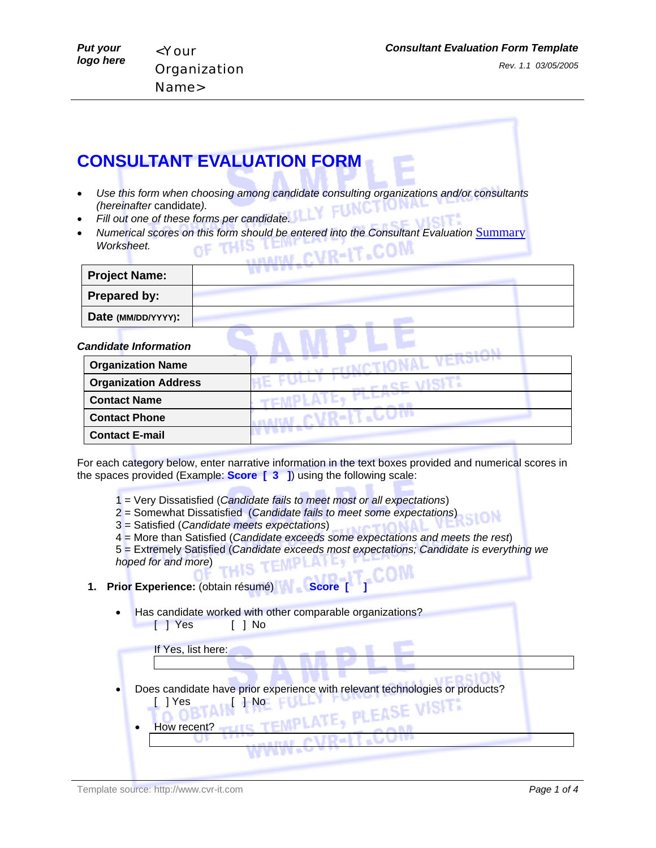## **CONSULTANT EVALUATION FORM**

- *Use this form when choosing among candidate consulting organizations and/or consultants (hereinafter* candidate*).*
- *Fill out one of these forms per candidate.*
- *Numerical scores on this form should be entered into the Consultant Evaluation Summary Worksheet.*  CVR-IT.COM

| <b>Project Name:</b>         |  |
|------------------------------|--|
| Prepared by:                 |  |
| Date (MM/DD/YYYY):           |  |
| <b>Candidate Information</b> |  |
| <b>Organization Name</b>     |  |
| <b>Organization Address</b>  |  |
| <b>Contact Name</b>          |  |
| <b>Contact Phone</b>         |  |
| <b>Contact E-mail</b>        |  |

For each category below, enter narrative information in the text boxes provided and numerical scores in the spaces provided (Example: **Score [ 3 ]**) using the following scale:

- 1 = Very Dissatisfied (*Candidate fails to meet most or all expectations*)
- 2 = Somewhat Dissatisfied (*Candidate fails to meet some expectations*)
- 3 = Satisfied (*Candidate meets expectations*)
- 4 = More than Satisfied (*Candidate exceeds some expectations and meets the rest*)

5 = Extremely Satisfied (*Candidate exceeds most expectations; Candidate is everything we hoped for and more*)

## **1. Prior Experience:** (obtain résumé) **Nancs** Score [

• Has candidate worked with other comparable organizations? [] Yes [] No

If Yes, list here:

- Does candidate have prior experience with relevant technologies or products? [] Yes [] No
	- **PLEASE** How recent?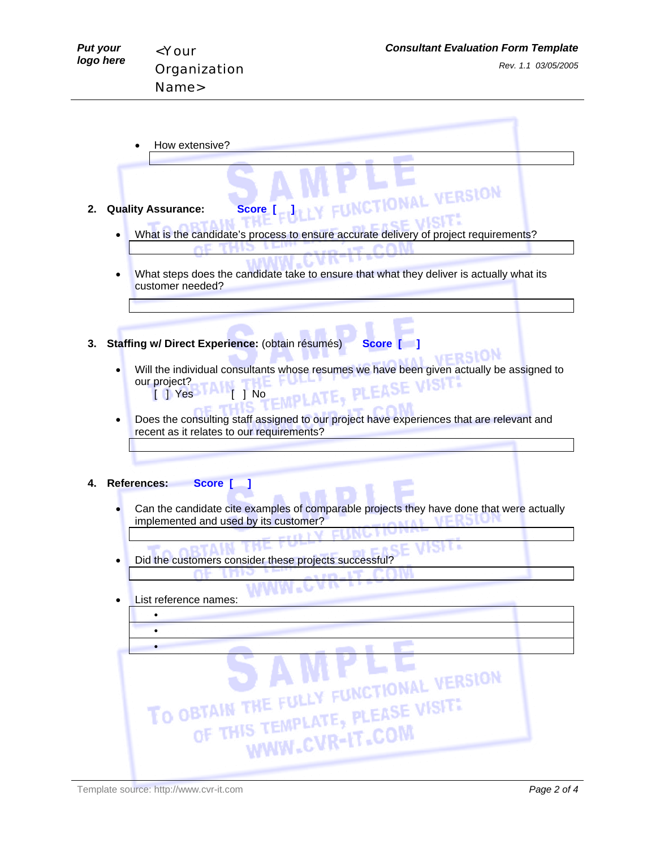**FRSION** 

- How extensive?
- **2. Quality Assurance: Score [ ]**
	- What is the candidate's process to ensure accurate delivery of project requirements?

LY FUNCTIONAL VERSION

- What steps does the candidate take to ensure that what they deliver is actually what its customer needed?
- **3. Staffing w/ Direct Experience:** (obtain résumés) **Score [ ]**
	- Will the individual consultants whose resumes we have been given actually be assigned to<br>
	our project?<br>
	F T Nes Links our project? [] Yes [] No
	- Does the consulting staff assigned to our project have experiences that are relevant and recent as it relates to our requirements?

**4. References: Score [ ]**

- Can the candidate cite examples of comparable projects they have done that were actually implemented and used by its customer?
- Did the customers consider these projects successful?
- List reference names:

| LISL I GIGIGHUG HAIHGS.<br>٠<br>$\bullet$ |                                                                                             |
|-------------------------------------------|---------------------------------------------------------------------------------------------|
|                                           |                                                                                             |
|                                           | TO OBTAIN THE FULLY FUNCTIONAL VERSION<br>OF THIS TEMPLATE, PLEASE VISIT:<br>WWW.CVR-IT.COM |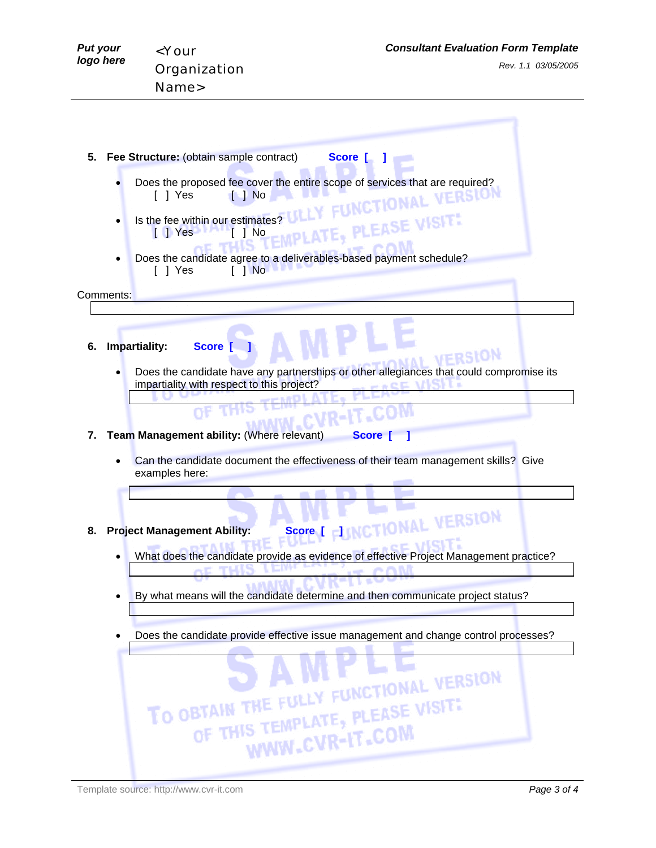| <b>Put your</b><br>logo here | <b>Consultant Evaluation Form Template</b><br><your<br>Rev. 1.1 03/05/2005<br/>Organization<br/>Name&gt;</your<br>                                                                                                                                                            |
|------------------------------|-------------------------------------------------------------------------------------------------------------------------------------------------------------------------------------------------------------------------------------------------------------------------------|
| 5.                           | Fee Structure: (obtain sample contract)<br>Score [                                                                                                                                                                                                                            |
|                              | Does the proposed fee cover the entire scope of services that are required?<br>[ ] Yes<br>$\blacksquare$ No<br><b>TIONAL VERSION</b><br>EMPLATE, PLEASE VISIT!<br>Is the fee within our estimates?<br>$\begin{bmatrix} 1 & \text{Yes} \end{bmatrix}$<br>$\lceil \; \rceil$ No |
| Comments:                    | Does the candidate agree to a deliverables-based payment schedule?<br>[ ] Yes<br>$\begin{bmatrix} 1 & No \end{bmatrix}$                                                                                                                                                       |
| 6.                           | Impartiality:<br><b>Score</b><br>websi0)                                                                                                                                                                                                                                      |

• Does the candidate have any partnerships or other allegiances that could compromise its impartiality with respect to this project?

VERSION

m

## **7. Team Management ability:** (Where relevant) **Score** [ ]

• Can the candidate document the effectiveness of their team management skills? Give examples here:

## **8. Project Management Ability:** Score [ ] NCTIONAL

- What does the candidate provide as evidence of effective Project Management practice?
- By what means will the candidate determine and then communicate project status?
- Does the candidate provide effective issue management and change control processes?



Template source: http://www.cvr-it.com *Page 3 of 4*